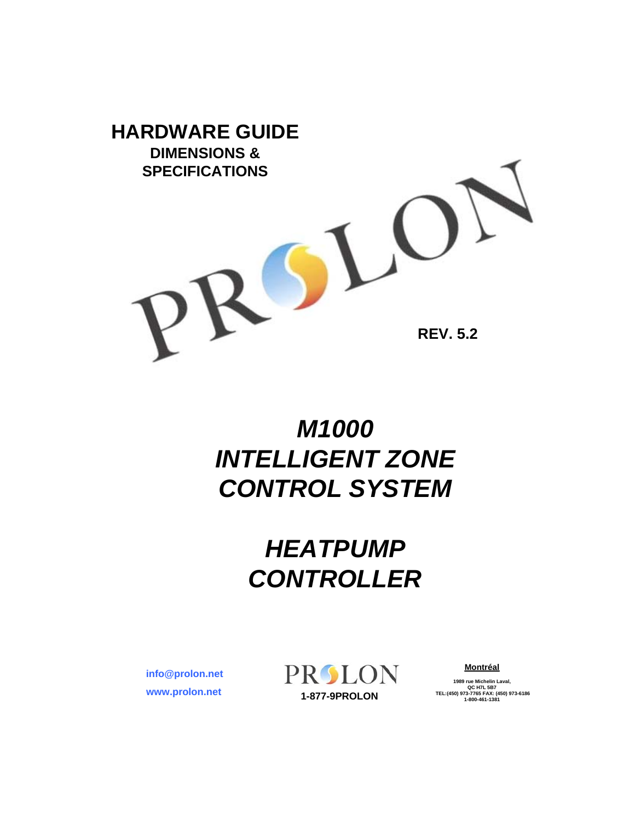

## *M1000 INTELLIGENT ZONE CONTROL SYSTEM*

## *HEATPUMP CONTROLLER*

**www.prolon.net info@prolon.net** PROLON

**Montréal**

**1989 rue Michelin Laval,**<br>
QC H7L 5B7<br> **1-877-9PROLON 1-800-461-1381**<br> **1-800-461-1381**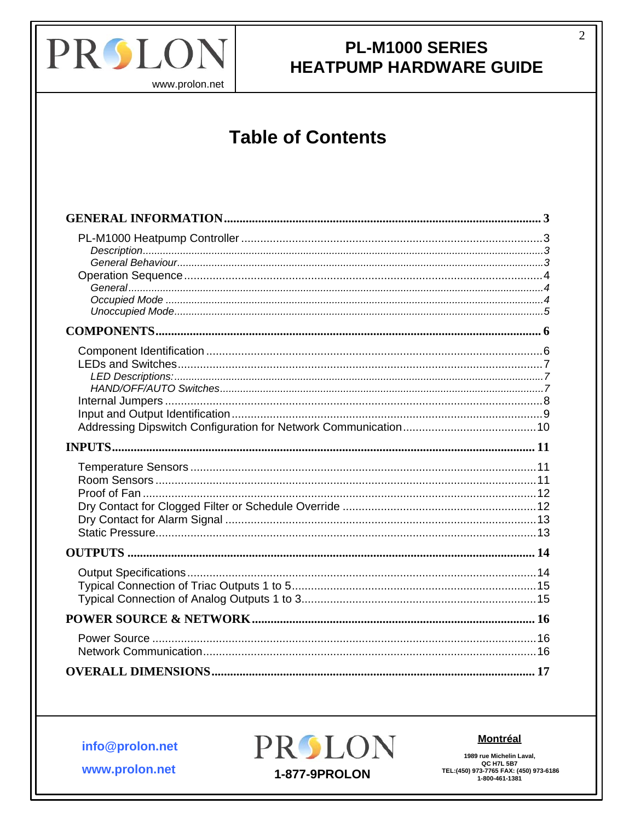

 $\overline{2}$ 

www.prolon.net

# **Table of Contents**

info@prolon.net



**Montréal** 

1989 rue Michelin Laval, 1909 THE MICHAEL LAVAI,<br>QC H7L 5B7<br>TEL:(450) 973-7765 FAX: (450) 973-6186<br>1-800-461-1381

www.prolon.net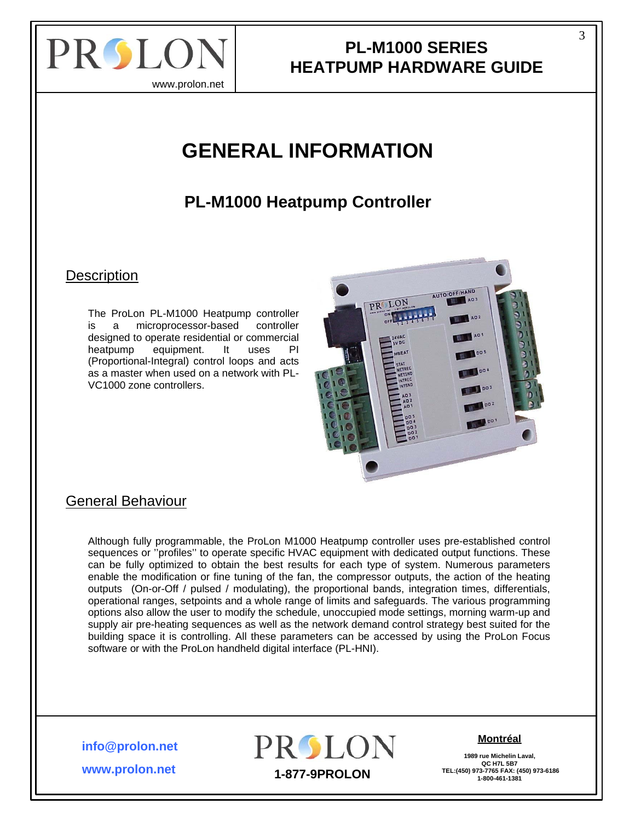<span id="page-2-0"></span>

www.prolon.net

## **GENERAL INFORMATION**

### **PL-M1000 Heatpump Controller**

#### **Description**

The ProLon PL-M1000 Heatpump controller is a microprocessor-based controller designed to operate residential or commercial heatpump equipment. It uses PI (Proportional-Integral) control loops and acts as a master when used on a network with PL-VC1000 zone controllers.



#### General Behaviour

Although fully programmable, the ProLon M1000 Heatpump controller uses pre-established control sequences or "profiles" to operate specific HVAC equipment with dedicated output functions. These can be fully optimized to obtain the best results for each type of system. Numerous parameters enable the modification or fine tuning of the fan, the compressor outputs, the action of the heating outputs (On-or-Off / pulsed / modulating), the proportional bands, integration times, differentials, operational ranges, setpoints and a whole range of limits and safeguards. The various programming options also allow the user to modify the schedule, unoccupied mode settings, morning warm-up and supply air pre-heating sequences as well as the network demand control strategy best suited for the building space it is controlling. All these parameters can be accessed by using the ProLon Focus software or with the ProLon handheld digital interface (PL-HNI).

**info@prolon.net**

**www.prolon.net**



#### **Montréal**

**1989 rue Michelin Laval, QC H7L 5B7**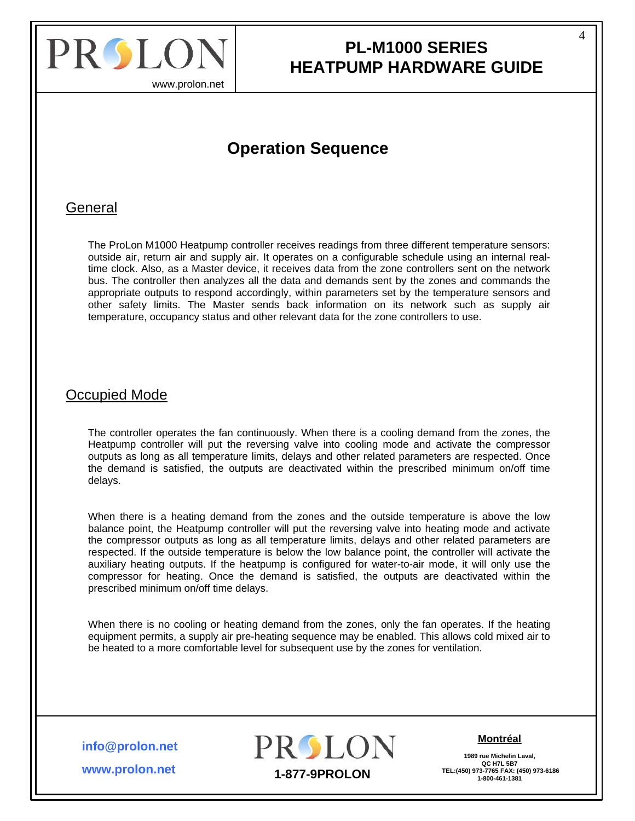<span id="page-3-0"></span>

www.prolon.net

### **Operation Sequence**

#### General

The ProLon M1000 Heatpump controller receives readings from three different temperature sensors: outside air, return air and supply air. It operates on a configurable schedule using an internal realtime clock. Also, as a Master device, it receives data from the zone controllers sent on the network bus. The controller then analyzes all the data and demands sent by the zones and commands the appropriate outputs to respond accordingly, within parameters set by the temperature sensors and other safety limits. The Master sends back information on its network such as supply air temperature, occupancy status and other relevant data for the zone controllers to use.

#### Occupied Mode

The controller operates the fan continuously. When there is a cooling demand from the zones, the Heatpump controller will put the reversing valve into cooling mode and activate the compressor outputs as long as all temperature limits, delays and other related parameters are respected. Once the demand is satisfied, the outputs are deactivated within the prescribed minimum on/off time delays.

When there is a heating demand from the zones and the outside temperature is above the low balance point, the Heatpump controller will put the reversing valve into heating mode and activate the compressor outputs as long as all temperature limits, delays and other related parameters are respected. If the outside temperature is below the low balance point, the controller will activate the auxiliary heating outputs. If the heatpump is configured for water-to-air mode, it will only use the compressor for heating. Once the demand is satisfied, the outputs are deactivated within the prescribed minimum on/off time delays.

When there is no cooling or heating demand from the zones, only the fan operates. If the heating equipment permits, a supply air pre-heating sequence may be enabled. This allows cold mixed air to be heated to a more comfortable level for subsequent use by the zones for ventilation.

**info@prolon.net**

**www.prolon.net**



#### **Montréal**

**1989 rue Michelin Laval, QC H7L 5B7**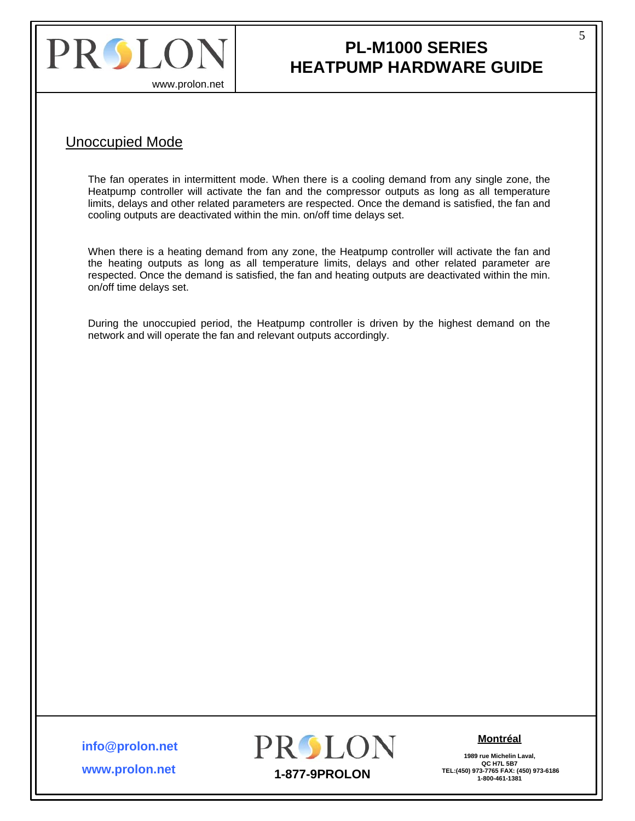<span id="page-4-0"></span>

### **PL-M1000 SERIES HEATPUMP HARDWARE GUIDE**

#### Unoccupied Mode

The fan operates in intermittent mode. When there is a cooling demand from any single zone, the Heatpump controller will activate the fan and the compressor outputs as long as all temperature limits, delays and other related parameters are respected. Once the demand is satisfied, the fan and cooling outputs are deactivated within the min. on/off time delays set.

When there is a heating demand from any zone, the Heatpump controller will activate the fan and the heating outputs as long as all temperature limits, delays and other related parameter are respected. Once the demand is satisfied, the fan and heating outputs are deactivated within the min. on/off time delays set.

During the unoccupied period, the Heatpump controller is driven by the highest demand on the network and will operate the fan and relevant outputs accordingly.

**info@prolon.net**

**www.prolon.net**



**Montréal**

**1989 rue Michelin Laval, QC H7L 5B7**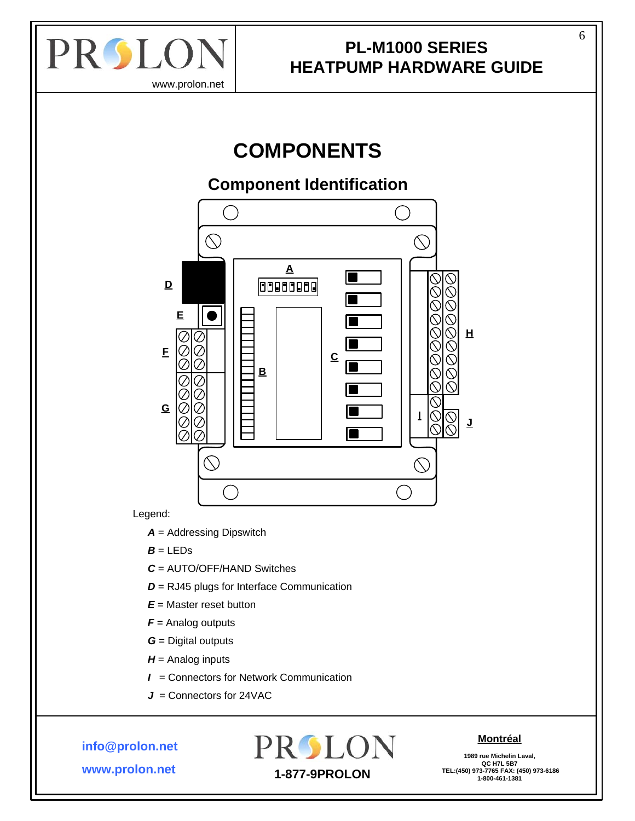<span id="page-5-0"></span>

## **COMPONENTS**

### **Component Identification**



#### Legend:

*A* = Addressing Dipswitch

- $B = LEDs$
- *C* = AUTO/OFF/HAND Switches
- *D* = RJ45 plugs for Interface Communication
- *E* = Master reset button
- *F* = Analog outputs
- *G* = Digital outputs
- *H* = Analog inputs
- *I* = Connectors for Network Communication
- *J* = Connectors for 24VAC

**info@prolon.net**

**www.prolon.net**

## PROLON  **TEL:(450) 973-7765 FAX: (450) 973-6186 1-877-9PROLON 1-800-461-1381**

#### **Montréal**

**1989 rue Michelin Laval, QC H7L 5B7**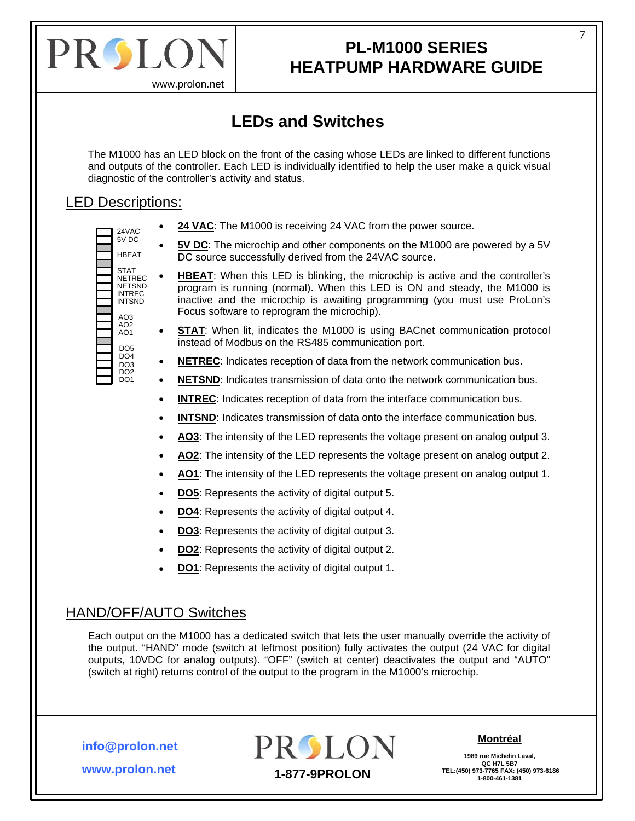<span id="page-6-0"></span>

www.prolon.net

### **LEDs and Switches**

The M1000 has an LED block on the front of the casing whose LEDs are linked to different functions and outputs of the controller. Each LED is individually identified to help the user make a quick visual diagnostic of the controller's activity and status.

#### LED Descriptions:

- 5V DC HBEAT **STAT** NETREC **NETSND** INTREC INTSND  $AO3$ AO2 AO1 DO5 DO4 DO<sub>3</sub> DO2 DO1
- $_{24\text{VAC}}$   $\bullet$  **24 VAC**: The M1000 is receiving 24 VAC from the power source.
	- 5V DC: The microchip and other components on the M1000 are powered by a 5V DC source successfully derived from the 24VAC source.
	- **HBEAT:** When this LED is blinking, the microchip is active and the controller's program is running (normal). When this LED is ON and steady, the M1000 is inactive and the microchip is awaiting programming (you must use ProLon's Focus software to reprogram the microchip).
	- **STAT:** When lit, indicates the M1000 is using BACnet communication protocol instead of Modbus on the RS485 communication port.
	- **NETREC**: Indicates reception of data from the network communication bus.
	- **NETSND**: Indicates transmission of data onto the network communication bus.
	- **INTREC:** Indicates reception of data from the interface communication bus.
	- **INTSND**: Indicates transmission of data onto the interface communication bus.
	- **AO3**: The intensity of the LED represents the voltage present on analog output 3.
	- **AO2**: The intensity of the LED represents the voltage present on analog output 2.
	- **AO1**: The intensity of the LED represents the voltage present on analog output 1.
	- **DO5**: Represents the activity of digital output 5.
	- **DO4**: Represents the activity of digital output 4.
	- **DO3**: Represents the activity of digital output 3.
	- **DO2**: Represents the activity of digital output 2.
	- **DO1**: Represents the activity of digital output 1.

#### HAND/OFF/AUTO Switches

Each output on the M1000 has a dedicated switch that lets the user manually override the activity of the output. "HAND" mode (switch at leftmost position) fully activates the output (24 VAC for digital outputs, 10VDC for analog outputs). "OFF" (switch at center) deactivates the output and "AUTO" (switch at right) returns control of the output to the program in the M1000's microchip.

**info@prolon.net**

**www.prolon.net**



#### **Montréal**

**1989 rue Michelin Laval,** QC H7L 5B7<br>TEL:(450) 973-7765 FAX: (450) 973-6186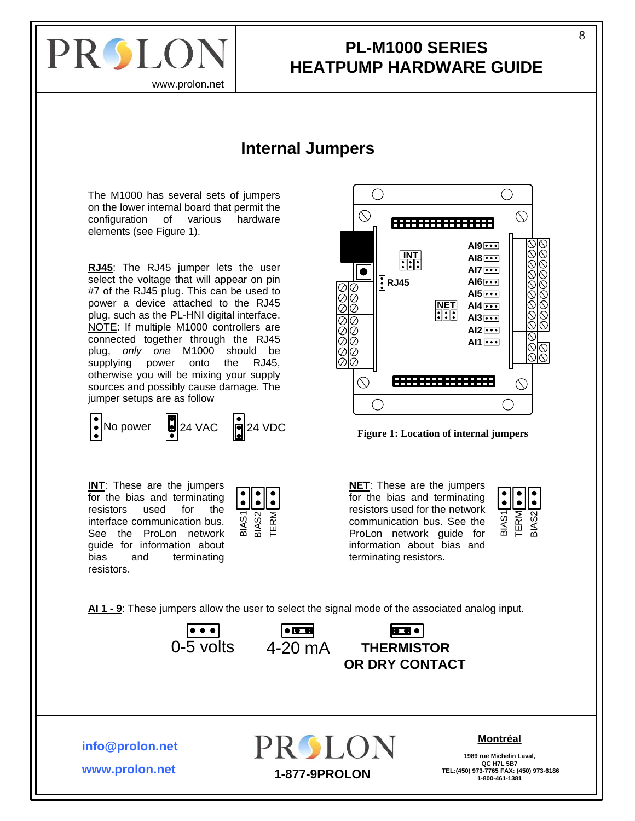<span id="page-7-0"></span>

#### **PL-M1000 SERIES HEATPUMP HARDWARE GUIDE**

#### **Internal Jumpers**

<span id="page-7-1"></span>The M1000 has several sets of jumpers on the lower internal board that permit the configuration of various hardware elements (see Figure 1).

**RJ45**: The RJ45 jumper lets the user select the voltage that will appear on pin #7 of the RJ45 plug. This can be used to power a device attached to the RJ45 plug, such as the PL-HNI digital interface. NOTE: If multiple M1000 controllers are connected together through the RJ45 plug, *only one* M1000 should be supplying power onto the RJ45, otherwise you will be mixing your supply sources and possibly cause damage. The jumper setups are as follow

**INT**: These are the jumpers for the bias and terminating resistors used for the interface communication bus. See the ProLon network guide for information about bias and terminating resistors.







**NET**: These are the jumpers for the bias and terminating resistors used for the network communication bus. See the ProLon network guide for information about bias and terminating resistors.



**AI 1 - 9**: These jumpers allow the user to select the signal mode of the associated analog input.







**info@prolon.net**

**www.prolon.net**

**PROLON** 

#### **Montréal**

**1989 rue Michelin Laval, QC H7L 5B7 TEL:(450) 973-7765 FAX: (450) 973-6186 1-877-9PROLON 1-800-461-1381**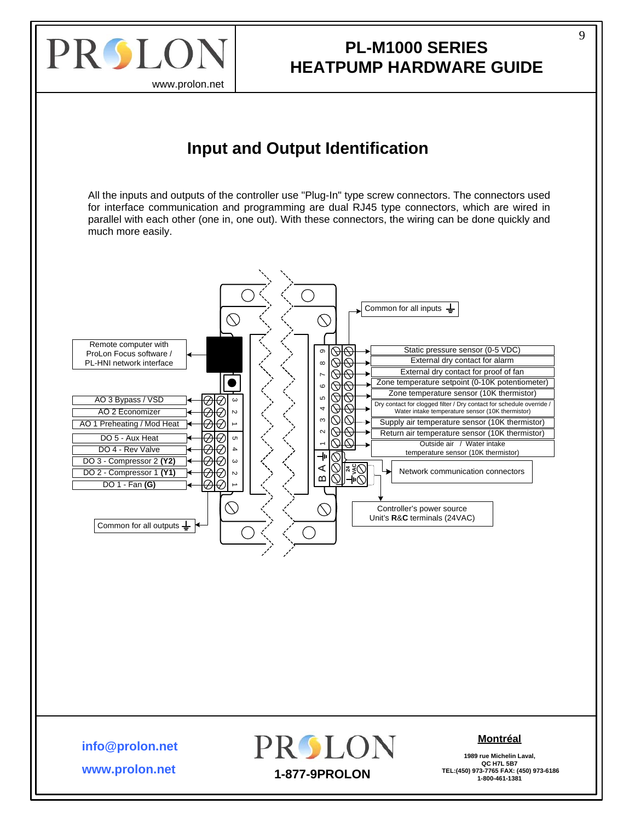<span id="page-8-0"></span>

### **PL-M1000 SERIES HEATPUMP HARDWARE GUIDE**

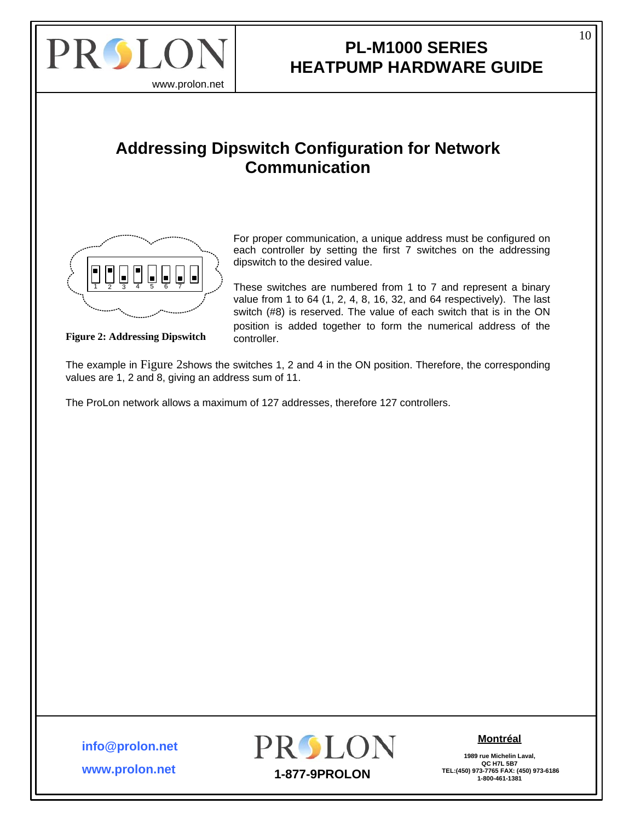<span id="page-9-0"></span>

### **PL-M1000 SERIES HEATPUMP HARDWARE GUIDE**

#### **Addressing Dipswitch Configuration for Network Communication**



For proper communication, a unique address must be configured on each controller by setting the first 7 switches on the addressing dipswitch to the desired value.

<sup>1</sup> 2 3 <sup>4567</sup> These switches are numbered from 1 to 7 and represent a binary value from 1 to 64 (1, 2, 4, 8, 16, 32, and 64 respectively). The last switch (#8) is reserved. The value of each switch that is in the ON position is added together to form the numerical address of the

**Figure 2: Addressing Dipswitch** controller.

The example in Figure 2shows the switches 1, 2 and 4 in the ON position. Therefore, the corresponding values are 1, 2 and 8, giving an address sum of 11.

The ProLon network allows a maximum of 127 addresses, therefore 127 controllers.

**www.prolon.net info@prolon.net**



**Montréal**

**1989 rue Michelin Laval, QC H7L 5B7**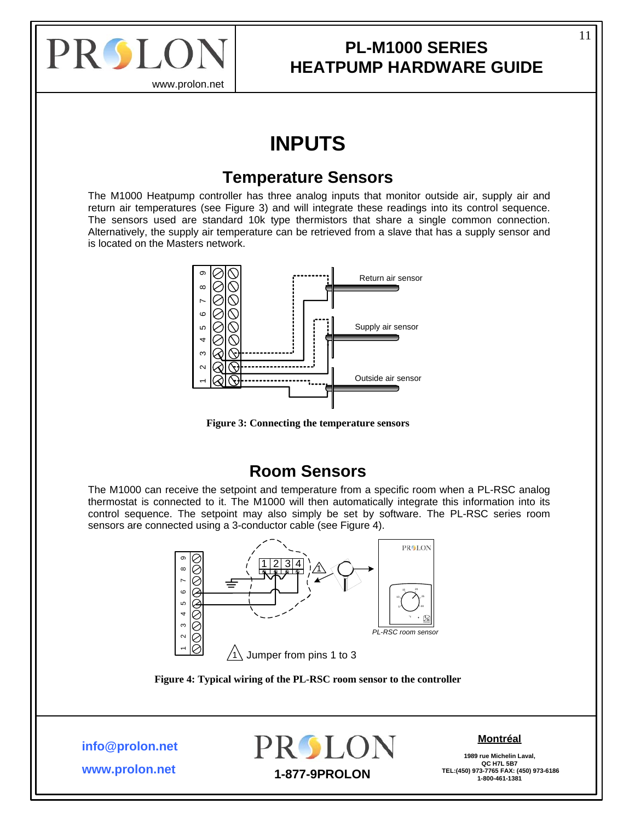<span id="page-10-0"></span>

## **INPUTS**

#### **Temperature Sensors**

The M1000 Heatpump controller has three analog inputs that monitor outside air, supply air and return air temperatures (see [Figure 3](#page-10-1)) and will integrate these readings into its control sequence. The sensors used are standard 10k type thermistors that share a single common connection. Alternatively, the supply air temperature can be retrieved from a slave that has a supply sensor and is located on the Masters network.



**Figure 3: Connecting the temperature sensors** 

#### **Room Sensors**

<span id="page-10-1"></span>The M1000 can receive the setpoint and temperature from a specific room when a PL-RSC analog thermostat is connected to it. The M1000 will then automatically integrate this information into its control sequence. The setpoint may also simply be set by software. The PL-RSC series room sensors are connected using a 3-conductor cable (see [Figure 4](#page-10-2)).



**Figure 4: Typical wiring of the PL-RSC room sensor to the controller** 

<span id="page-10-2"></span>**info@prolon.net**



#### **Montréal**

**1989 rue Michelin Laval, QC H7L 5B7**

**www.prolon.net**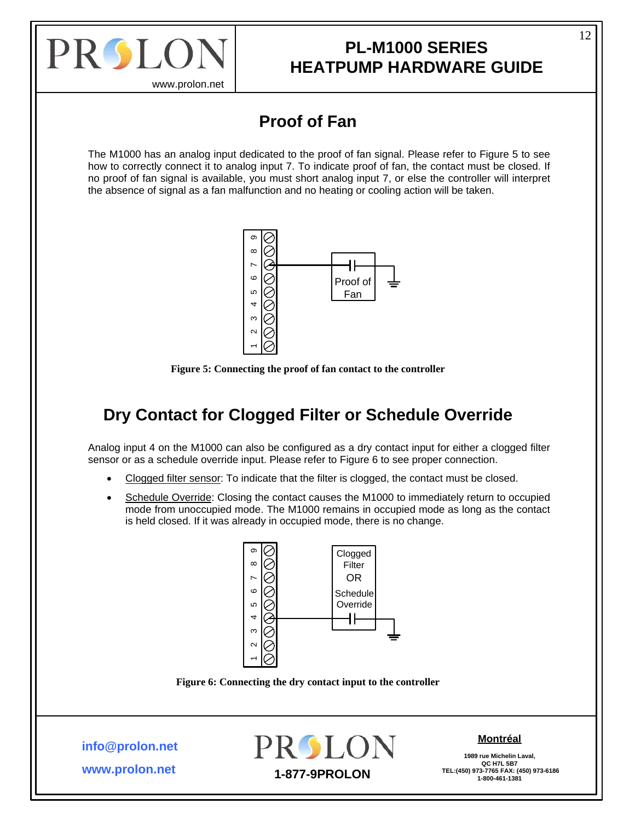<span id="page-11-0"></span>

www.prolon.net

### **Proof of Fan**

The M1000 has an analog input dedicated to the proof of fan signal. Please refer to [Figure 5](#page-11-1) to see how to correctly connect it to analog input 7. To indicate proof of fan, the contact must be closed. If no proof of fan signal is available, you must short analog input 7, or else the controller will interpret the absence of signal as a fan malfunction and no heating or cooling action will be taken.





### <span id="page-11-1"></span>**Dry Contact for Clogged Filter or Schedule Override**

Analog input 4 on the M1000 can also be configured as a dry contact input for either a clogged filter sensor or as a schedule override input. Please refer to [Figure 6](#page-11-2) to see proper connection.

- Clogged filter sensor: To indicate that the filter is clogged, the contact must be closed.
- Schedule Override: Closing the contact causes the M1000 to immediately return to occupied mode from unoccupied mode. The M1000 remains in occupied mode as long as the contact is held closed. If it was already in occupied mode, there is no change.



**Figure 6: Connecting the dry contact input to the controller** 

<span id="page-11-2"></span>**info@prolon.net**

**www.prolon.net**



#### **Montréal**

**1989 rue Michelin Laval,** QC H7L 5B7<br>TEL:(450) 973-7765 FAX: (450) 973-6186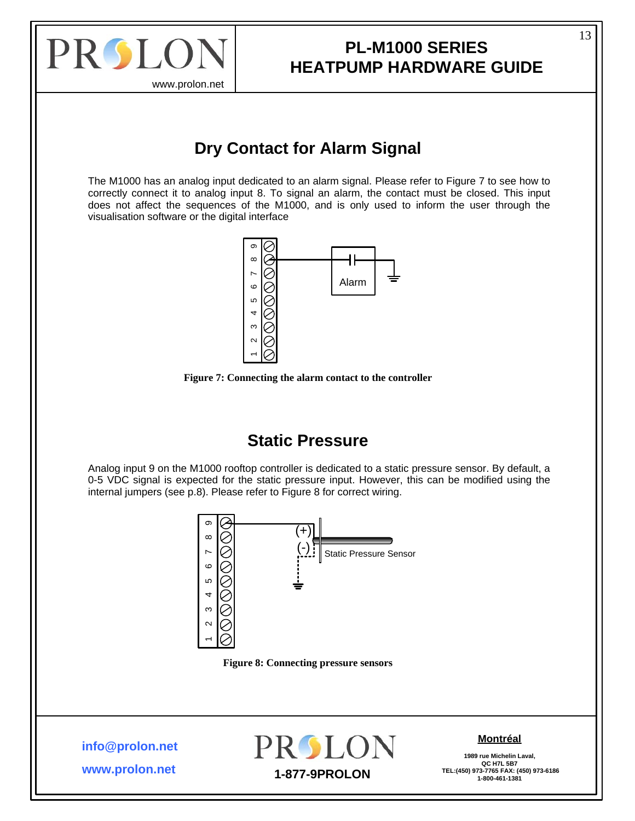<span id="page-12-0"></span>

### **PL-M1000 SERIES HEATPUMP HARDWARE GUIDE**

### **Dry Contact for Alarm Signal**

The M1000 has an analog input dedicated to an alarm signal. Please refer to [Figure 7](#page-12-1) to see how to correctly connect it to analog input 8. To signal an alarm, the contact must be closed. This input does not affect the sequences of the M1000, and is only used to inform the user through the visualisation software or the digital interface





### **Static Pressure**

<span id="page-12-1"></span>Analog input 9 on the M1000 rooftop controller is dedicated to a static pressure sensor. By default, a 0-5 VDC signal is expected for the static pressure input. However, this can be modified using the internal jumpers (see p[.8](#page-7-1)). Please refer to [Figure 8](#page-12-2) for correct wiring.



<span id="page-12-2"></span>**info@prolon.net**

**www.prolon.net**



#### **Montréal**

**1989 rue Michelin Laval, QC H7L 5B7**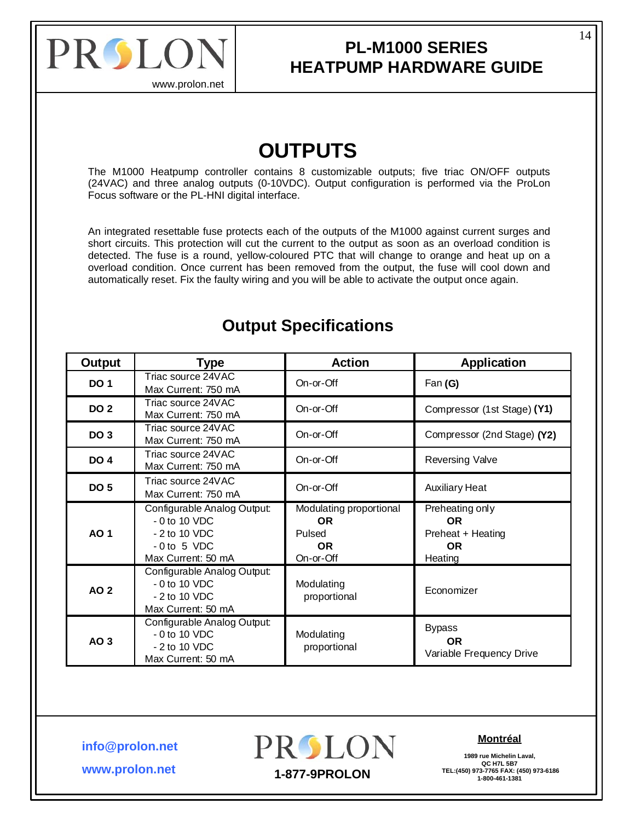<span id="page-13-0"></span>

www.prolon.net

## **OUTPUTS**

The M1000 Heatpump controller contains 8 customizable outputs; five triac ON/OFF outputs (24VAC) and three analog outputs (0-10VDC). Output configuration is performed via the ProLon Focus software or the PL-HNI digital interface.

An integrated resettable fuse protects each of the outputs of the M1000 against current surges and short circuits. This protection will cut the current to the output as soon as an overload condition is detected. The fuse is a round, yellow-coloured PTC that will change to orange and heat up on a overload condition. Once current has been removed from the output, the fuse will cool down and automatically reset. Fix the faulty wiring and you will be able to activate the output once again.

| <b>Output</b>   | <b>Type</b>                                                                                            | <b>Action</b>                                                      | <b>Application</b>                                                        |
|-----------------|--------------------------------------------------------------------------------------------------------|--------------------------------------------------------------------|---------------------------------------------------------------------------|
| <b>DO 1</b>     | Triac source 24VAC<br>Max Current: 750 mA                                                              | On-or-Off                                                          | Fan $(G)$                                                                 |
| <b>DO 2</b>     | Triac source 24VAC<br>Max Current: 750 mA                                                              | On-or-Off                                                          | Compressor (1st Stage) (Y1)                                               |
| DO <sub>3</sub> | Triac source 24VAC<br>Max Current: 750 mA                                                              | On-or-Off                                                          | Compressor (2nd Stage) (Y2)                                               |
| <b>DO 4</b>     | Triac source 24VAC<br>Max Current: 750 mA                                                              | On-or-Off                                                          | <b>Reversing Valve</b>                                                    |
| <b>DO 5</b>     | Triac source 24VAC<br>Max Current: 750 mA                                                              | On-or-Off                                                          | <b>Auxiliary Heat</b>                                                     |
| <b>AO1</b>      | Configurable Analog Output:<br>$-0$ to 10 VDC<br>$-2$ to 10 VDC<br>$-0$ to 5 VDC<br>Max Current: 50 mA | Modulating proportional<br><b>OR</b><br>Pulsed<br>OR.<br>On-or-Off | Preheating only<br><b>OR</b><br>Preheat + Heating<br><b>OR</b><br>Heating |
| <b>AO 2</b>     | Configurable Analog Output:<br>$-0$ to 10 VDC<br>- 2 to 10 VDC<br>Max Current: 50 mA                   | Modulating<br>proportional                                         | Economizer                                                                |
| AO 3            | Configurable Analog Output:<br>$-0$ to 10 VDC<br>- 2 to 10 VDC<br>Max Current: 50 mA                   | Modulating<br>proportional                                         | <b>Bypass</b><br><b>OR</b><br>Variable Frequency Drive                    |

### **Output Specifications**

**info@prolon.net**

**www.prolon.net**

PROLON

#### **Montréal**

**1989 rue Michelin Laval, QC H7L 5B7 TEL:(450) 973-7765 FAX: (450) 973-6186 1-877-9PROLON 1-800-461-1381**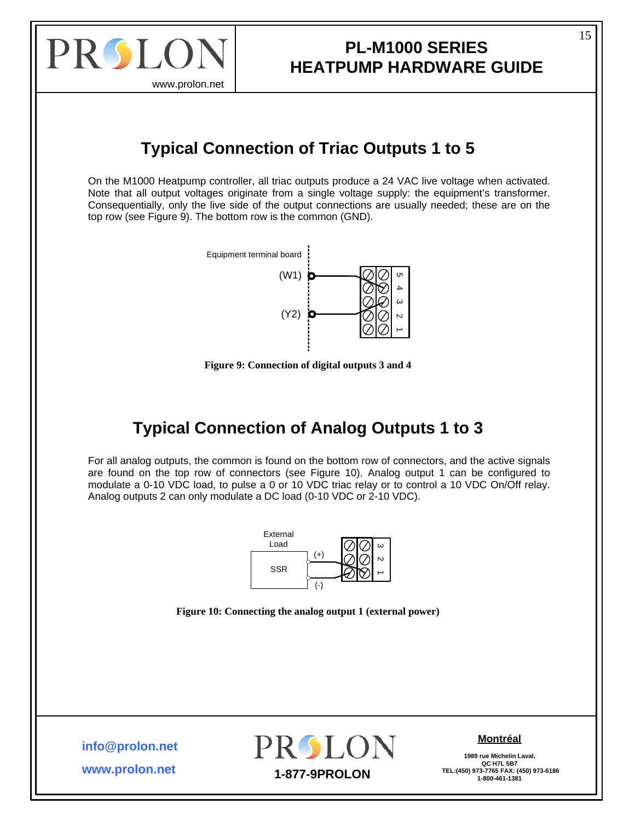<span id="page-14-0"></span>

### **PL-M1000 SERIES HEATPUMP HARDWARE GUIDE**

### **Typical Connection of Triac Outputs 1 to 5**

On the M1000 Heatpump controller, all triac outputs produce a 24 VAC live voltage when activated. Note that all output voltages originate from a single voltage supply: the equipment's transformer. Consequentially, only the live side of the output connections are usually needed; these are on the top row (see [Figure 9](#page-14-1)). The bottom row is the common (GND).



**Figure 9: Connection of digital outputs 3 and 4** 

### **Typical Connection of Analog Outputs 1 to 3**

<span id="page-14-1"></span>For all analog outputs, the common is found on the bottom row of connectors, and the active signals are found on the top row of connectors (see [Figure 10\)](#page-14-2). Analog output 1 can be configured to modulate a 0-10 VDC load, to pulse a 0 or 10 VDC triac relay or to control a 10 VDC On/Off relay. Analog outputs 2 can only modulate a DC load (0-10 VDC or 2-10 VDC).



**Figure 10: Connecting the analog output 1 (external power)** 

<span id="page-14-2"></span>**info@prolon.net**

**www.prolon.net**



#### **Montréal**

**1989 rue Michelin Laval,** QC H7L 5B7<br>TEL:(450) 973-7765 FAX: (450) 973-6186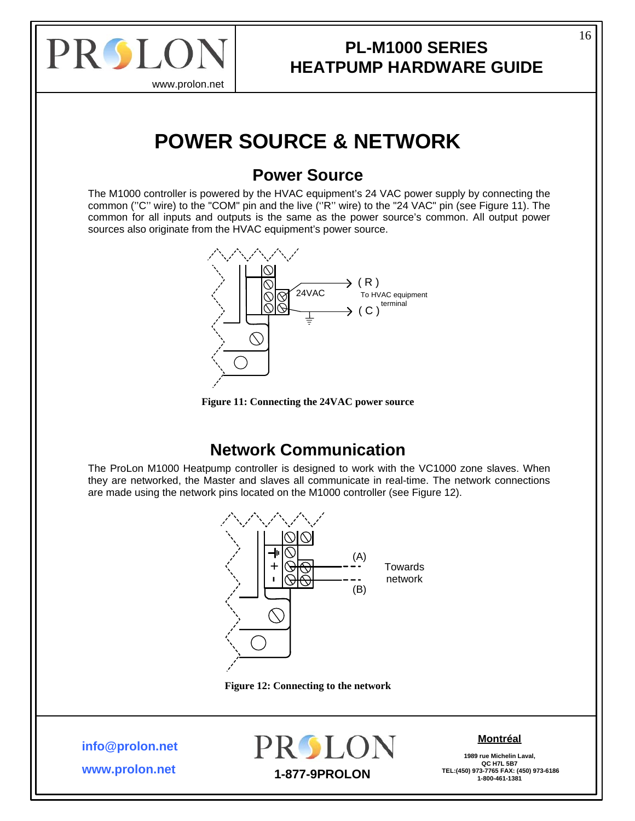<span id="page-15-0"></span>

### **PL-M1000 SERIES HEATPUMP HARDWARE GUIDE**

## **POWER SOURCE & NETWORK**

### **Power Source**

The M1000 controller is powered by the HVAC equipment's 24 VAC power supply by connecting the common (''C'' wire) to the "COM" pin and the live (''R'' wire) to the "24 VAC" pin (see [Figure 11\)](#page-15-1). The common for all inputs and outputs is the same as the power source's common. All output power sources also originate from the HVAC equipment's power source.





### **Network Communication**

<span id="page-15-1"></span>The ProLon M1000 Heatpump controller is designed to work with the VC1000 zone slaves. When they are networked, the Master and slaves all communicate in real-time. The network connections are made using the network pins located on the M1000 controller (see [Figure 12\)](#page-15-2).



**Figure 12: Connecting to the network** 

<span id="page-15-2"></span>**info@prolon.net**

**www.prolon.net**



#### **Montréal**

**1989 rue Michelin Laval, QC H7L 5B7**